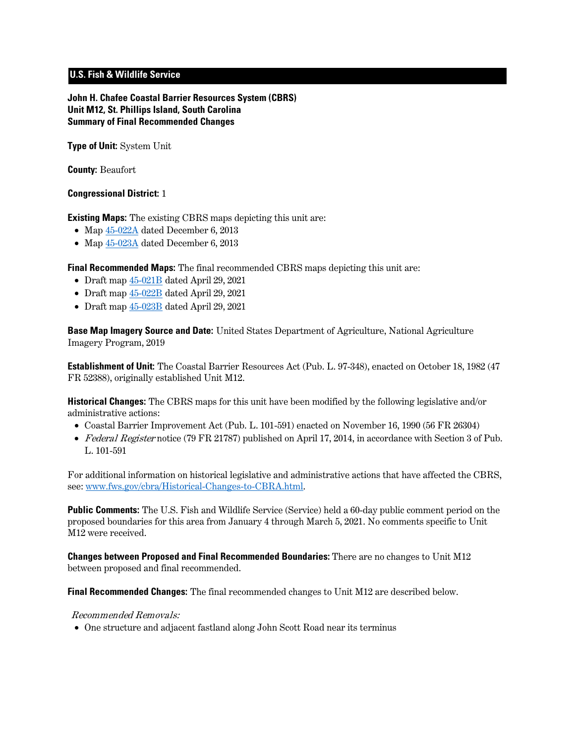# **U.S. Fish & Wildlife Service**

**John H. Chafee Coastal Barrier Resources System (CBRS) Unit M12, St. Phillips Island, South Carolina Summary of Final Recommended Changes**

**Type of Unit:** System Unit

**County:** Beaufort

#### **Congressional District:** 1

**Existing Maps:** The existing CBRS maps depicting this unit are:

- Map  $45-022A$  dated December 6, 2013
- Map  $45-023A$  dated December 6, 2013

**Final Recommended Maps:** The final recommended CBRS maps depicting this unit are:

- Draft map [45-021B](https://www.fws.gov/cbra/projects/technical-corrections/Final-Recommended-45-021B.pdf) dated April 29, 2021
- Draft map [45-022B](https://www.fws.gov/cbra/projects/technical-corrections/Final-Recommended-45-022B.pdf) dated April 29, 2021
- Draft map [45-023B](https://www.fws.gov/cbra/projects/technical-corrections/Final-Recommended-45-023B.pdf) dated April 29, 2021

**Base Map Imagery Source and Date:** United States Department of Agriculture, National Agriculture Imagery Program, 2019

**Establishment of Unit:** The Coastal Barrier Resources Act (Pub. L. 97-348), enacted on October 18, 1982 (47 FR 52388), originally established Unit M12.

**Historical Changes:** The CBRS maps for this unit have been modified by the following legislative and/or administrative actions:

- Coastal Barrier Improvement Act (Pub. L. 101-591) enacted on November 16, 1990 (56 FR 26304)
- Federal Register notice (79 FR 21787) published on April 17, 2014, in accordance with Section 3 of Pub. L. 101-591

For additional information on historical legislative and administrative actions that have affected the CBRS, see: [www.fws.gov/cbra/Historical-Changes-to-CBRA.html.](http://www.fws.gov/cbra/Historical-Changes-to-CBRA.html)

**Public Comments:** The U.S. Fish and Wildlife Service (Service) held a 60-day public comment period on the proposed boundaries for this area from January 4 through March 5, 2021. No comments specific to Unit M12 were received.

**Changes between Proposed and Final Recommended Boundaries:** There are no changes to Unit M12 between proposed and final recommended.

**Final Recommended Changes:** The final recommended changes to Unit M12 are described below.

#### Recommended Removals:

• One structure and adjacent fastland along John Scott Road near its terminus